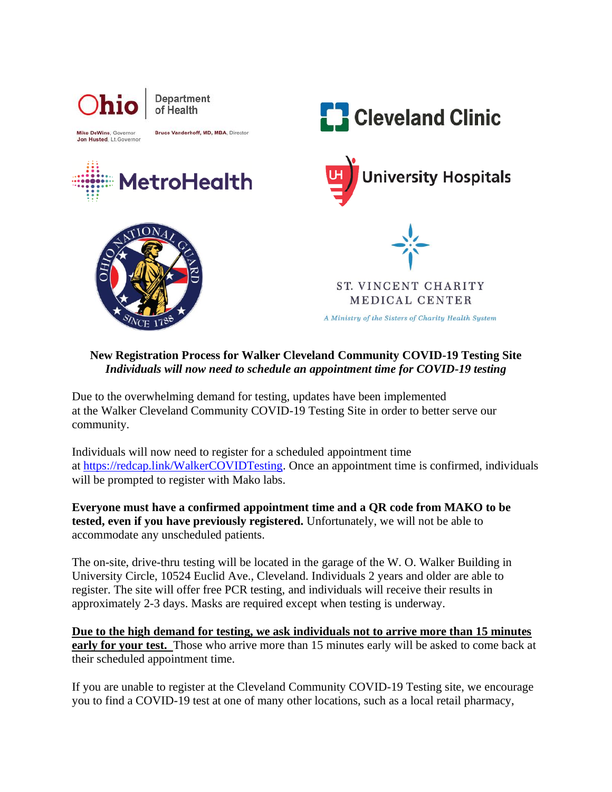

## **New Registration Process for Walker Cleveland Community COVID-19 Testing Site** *Individuals will now need to schedule an appointment time for COVID-19 testing*

Due to the overwhelming demand for testing, updates have been implemented at the Walker Cleveland Community COVID-19 Testing Site in order to better serve our community.

Individuals will now need to register for a scheduled appointment time at [https://redcap.link/WalkerCOVIDTesting.](https://protect-us.mimecast.com/s/gSFNCo2KwWUXqpzBDtzZSXb?domain=urldefense.com) Once an appointment time is confirmed, individuals will be prompted to register with Mako labs.

**Everyone must have a confirmed appointment time and a QR code from MAKO to be tested, even if you have previously registered.** Unfortunately, we will not be able to accommodate any unscheduled patients.

The on-site, drive-thru testing will be located in the garage of the W. O. Walker Building in University Circle, 10524 Euclid Ave., Cleveland. Individuals 2 years and older are able to register. The site will offer free PCR testing, and individuals will receive their results in approximately 2-3 days. Masks are required except when testing is underway.

**Due to the high demand for testing, we ask individuals not to arrive more than 15 minutes early for your test.** Those who arrive more than 15 minutes early will be asked to come back at their scheduled appointment time.

If you are unable to register at the Cleveland Community COVID-19 Testing site, we encourage you to find a COVID-19 test at one of many other locations, such as a local retail pharmacy,